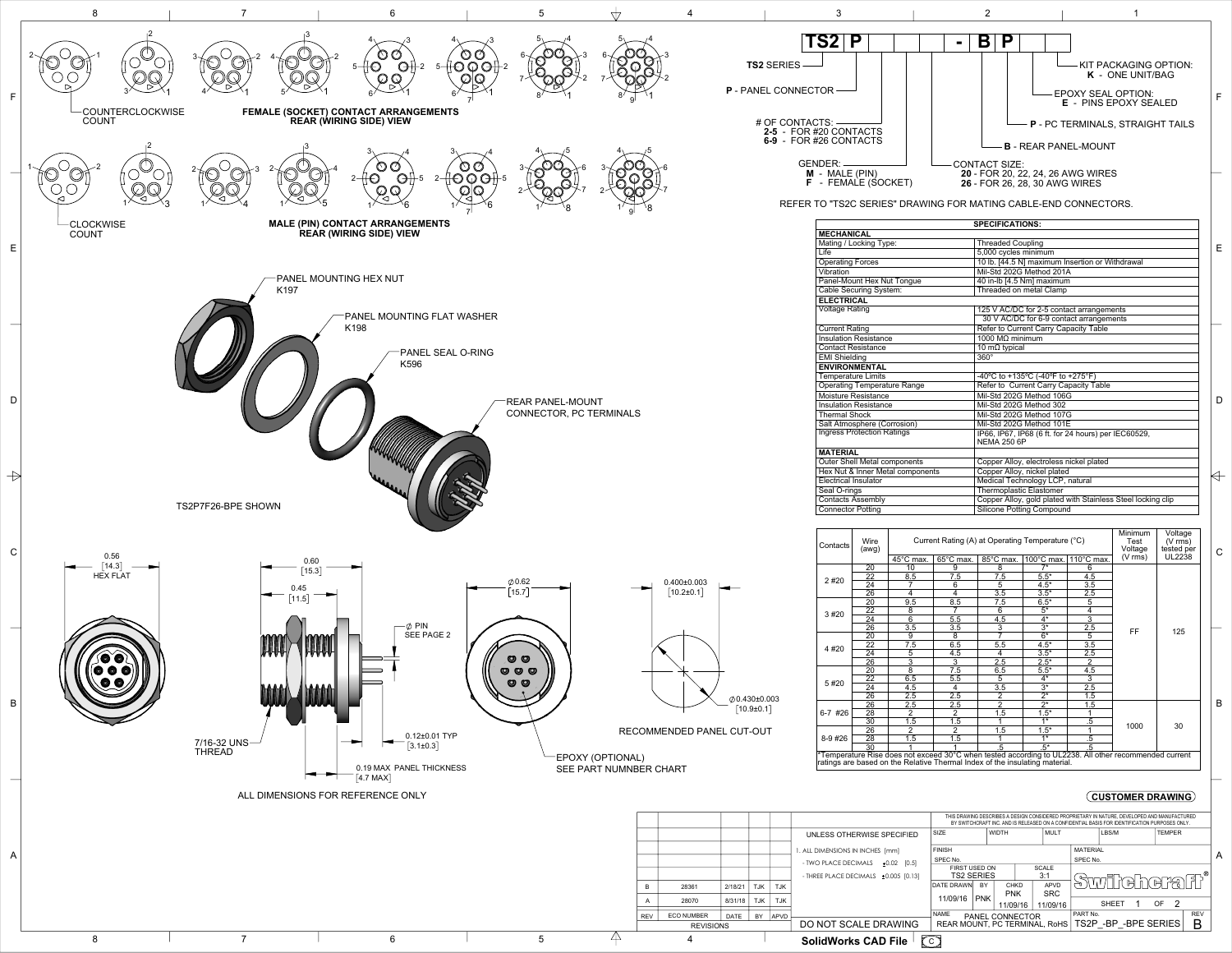

|         |             |            |            |                                       |                           | BY SWITCHCRAFT INC. AND IS RELEASED ON A CONFIDENTIAL BASIS FOR IDENTIFICATION PURPOSES ONLY. |             |              |                     |                             |  |           |               |            |  |
|---------|-------------|------------|------------|---------------------------------------|---------------------------|-----------------------------------------------------------------------------------------------|-------------|--------------|---------------------|-----------------------------|--|-----------|---------------|------------|--|
|         |             |            |            | UNLESS OTHERWISE SPECIFIED            | <b>SIZE</b>               | <b>WIDTH</b>                                                                                  |             | <b>MULT</b>  |                     | LBS/M                       |  |           | <b>TEMPER</b> |            |  |
|         |             |            |            | . ALL DIMENSIONS IN INCHES [mm]       | <b>FINISH</b><br>SPEC No. |                                                                                               |             |              |                     | <b>MATERIAL</b><br>SPEC No. |  |           |               |            |  |
|         |             |            |            | - TWO PLACE DECIMALS<br>$±0.02$ [0.5] | FIRST USED ON             |                                                                                               |             | <b>SCALE</b> |                     |                             |  |           |               |            |  |
|         |             |            |            | - THREE PLACE DECIMALS ±0.005 [0.13]  | <b>TS2 SERIES</b>         |                                                                                               | 3:1         |              | <b>STITIGAAGTE!</b> |                             |  |           |               |            |  |
|         | 2/18/21     | <b>TJK</b> | <b>TJK</b> |                                       | <b>DATE DRAWN</b>         | <b>BY</b>                                                                                     | <b>CHKD</b> | <b>APVD</b>  |                     |                             |  |           |               |            |  |
|         |             |            |            |                                       | 11/09/16                  | <b>PNK</b>                                                                                    | <b>PNK</b>  | <b>SRC</b>   |                     |                             |  |           |               |            |  |
|         | 8/31/18     | <b>TJK</b> | <b>TJK</b> |                                       |                           |                                                                                               | 11/09/16    | 11/09/16     |                     | <b>SHEFT</b>                |  | <b>OF</b> | - 2           |            |  |
| ΕR      | <b>DATE</b> | BY         | APVD       |                                       | <b>NAME</b>               | <b>PANEL CONNECTOR</b>                                                                        |             |              |                     | PART No.                    |  |           |               | <b>REV</b> |  |
| VISIONS |             |            |            | DO NOT SCALE DRAWING                  |                           | REAR MOUNT, PC TERMINAL, RoHS                                                                 |             |              |                     | TS2P - BP - BPE SERIES      |  |           |               | B          |  |
|         |             |            |            |                                       | ⇁                         |                                                                                               |             |              |                     |                             |  |           |               |            |  |

**SolidWorks CAD File** 「<u>【C</u>